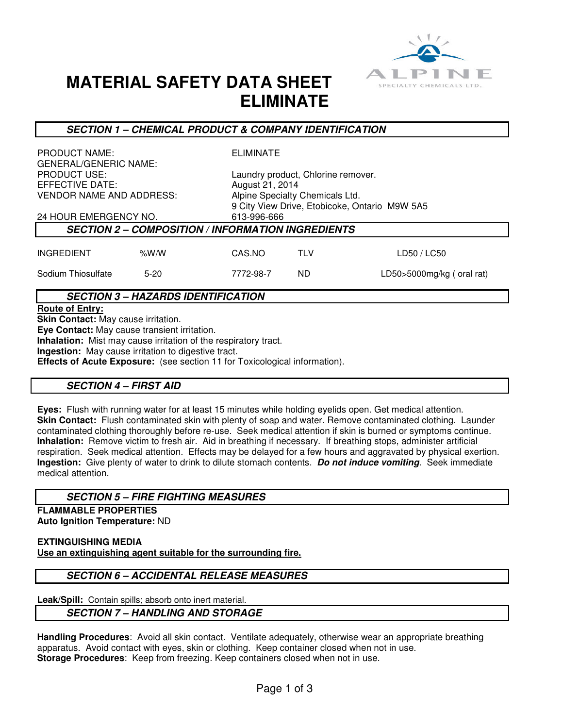

# **MATERIAL SAFETY DATA SHEET ELIMINATE**

#### **SECTION 1 – CHEMICAL PRODUCT & COMPANY IDENTIFICATION**

PRODUCT NAME: ELIMINATE GENERAL/GENERIC NAME: EFFECTIVE DATE:  $\begin{array}{ccc} \text{August 21, 2014} \\ \text{VENDOR NAME AND ADDRESS:} \end{array}$  Algust 21, 2014

PRODUCT USE: Laundry product, Chlorine remover. Alpine Specialty Chemicals Ltd. 9 City View Drive, Etobicoke, Ontario M9W 5A5 24 HOUR EMERGENCY NO. 613-996-666

## **SECTION 2 – COMPOSITION / INFORMATION INGREDIENTS**

| <b>INGREDIENT</b>  | % $W/W$ | CAS.NO    | TI V | LD50/LC50                 |
|--------------------|---------|-----------|------|---------------------------|
| Sodium Thiosulfate | $5-20$  | 7772-98-7 | ND   | LD50>5000mg/kg (oral rat) |

### **SECTION 3 – HAZARDS IDENTIFICATION**

#### **Route of Entry:**

**Skin Contact:** May cause irritation. **Eye Contact:** May cause transient irritation. **Inhalation:** Mist may cause irritation of the respiratory tract. **Ingestion:** May cause irritation to digestive tract. **Effects of Acute Exposure:** (see section 11 for Toxicological information).

#### **SECTION 4 – FIRST AID**

**Eyes:** Flush with running water for at least 15 minutes while holding eyelids open. Get medical attention. **Skin Contact:** Flush contaminated skin with plenty of soap and water. Remove contaminated clothing. Launder contaminated clothing thoroughly before re-use. Seek medical attention if skin is burned or symptoms continue. **Inhalation:** Remove victim to fresh air. Aid in breathing if necessary. If breathing stops, administer artificial respiration. Seek medical attention. Effects may be delayed for a few hours and aggravated by physical exertion. **Ingestion:** Give plenty of water to drink to dilute stomach contents. **Do not induce vomiting**. Seek immediate medical attention.

#### **SECTION 5 – FIRE FIGHTING MEASURES**

**FLAMMABLE PROPERTIES Auto Ignition Temperature:** ND

**EXTINGUISHING MEDIA Use an extinguishing agent suitable for the surrounding fire.**

#### **SECTION 6 – ACCIDENTAL RELEASE MEASURES**

**Leak/Spill:** Contain spills; absorb onto inert material.

### **SECTION 7 – HANDLING AND STORAGE**

**Handling Procedures**: Avoid all skin contact. Ventilate adequately, otherwise wear an appropriate breathing apparatus. Avoid contact with eyes, skin or clothing. Keep container closed when not in use. **Storage Procedures**: Keep from freezing. Keep containers closed when not in use.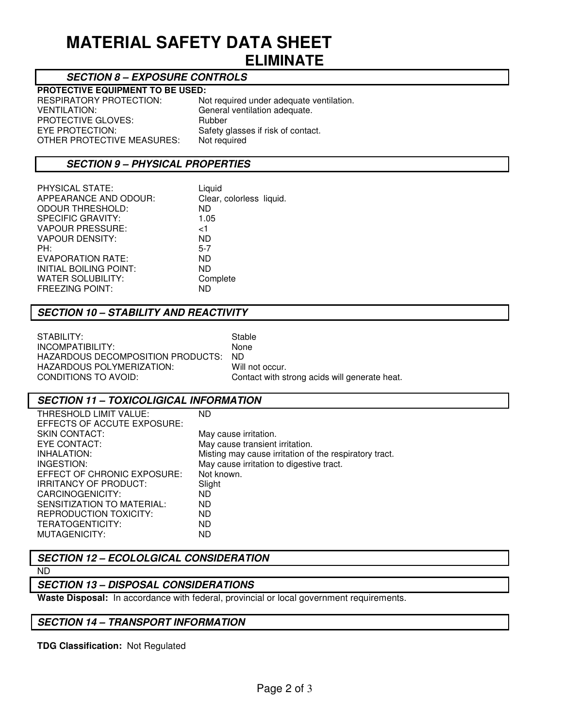# **MATERIAL SAFETY DATA SHEET ELIMINATE**

### **SECTION 8 – EXPOSURE CONTROLS**

# **PROTECTIVE EQUIPMENT TO BE USED:**<br>RESPIRATORY PROTECTION: No

RESPIRATORY PROTECTION: Not required under adequate ventilation.<br>VENTILATION: General ventilation adequate. PROTECTIVE GLOVES:<br>EYE PROTECTION: OTHER PROTECTIVE MEASURES:

General ventilation adequate.<br>Rubber Safety glasses if risk of contact.<br>Not required

#### **SECTION 9 – PHYSICAL PROPERTIES**

| PHYSICAL STATE:          | Liquid                   |
|--------------------------|--------------------------|
| APPEARANCE AND ODOUR:    | Clear, colorless liquid. |
| <b>ODOUR THRESHOLD:</b>  | ND.                      |
| <b>SPECIFIC GRAVITY:</b> | 1.05                     |
| <b>VAPOUR PRESSURE:</b>  | ا>                       |
| <b>VAPOUR DENSITY:</b>   | ND.                      |
| PH:                      | $5 - 7$                  |
| EVAPORATION RATE:        | ND.                      |
| INITIAL BOILING POINT:   | ND.                      |
| <b>WATER SOLUBILITY:</b> | Complete                 |
| <b>FREEZING POINT:</b>   | ND                       |

### **SECTION 10 – STABILITY AND REACTIVITY**

| STABILITY:                              | Stable                                        |
|-----------------------------------------|-----------------------------------------------|
| INCOMPATIBILITY:                        | <b>None</b>                                   |
| HAZARDOUS DECOMPOSITION PRODUCTS: _ ND_ |                                               |
| HAZARDOUS POLYMERIZATION:               | Will not occur.                               |
| CONDITIONS TO AVOID:                    | Contact with strong acids will generate heat. |
|                                         |                                               |

#### **SECTION 11 – TOXICOLIGICAL INFORMATION**

| THRESHOLD LIMIT VALUE:        | ND.                                                    |
|-------------------------------|--------------------------------------------------------|
| EFFECTS OF ACCUTE EXPOSURE:   |                                                        |
| <b>SKIN CONTACT:</b>          | May cause irritation.                                  |
| EYE CONTACT:                  | May cause transient irritation.                        |
| INHALATION:                   | Misting may cause irritation of the respiratory tract. |
| INGESTION:                    | May cause irritation to digestive tract.               |
| EFFECT OF CHRONIC EXPOSURE:   | Not known.                                             |
| <b>IRRITANCY OF PRODUCT:</b>  | Slight                                                 |
| CARCINOGENICITY:              | ND                                                     |
| SENSITIZATION TO MATERIAL:    | <b>ND</b>                                              |
| <b>REPRODUCTION TOXICITY:</b> | ND.                                                    |
| TERATOGENTICITY:              | <b>ND</b>                                              |
| MUTAGENICITY:                 | ND                                                     |

### **SECTION 12 – ECOLOLGICAL CONSIDERATION**

#### ND

## **SECTION 13 – DISPOSAL CONSIDERATIONS**

**Waste Disposal:** In accordance with federal, provincial or local government requirements.

## **SECTION 14 – TRANSPORT INFORMATION**

**TDG Classification:** Not Regulated